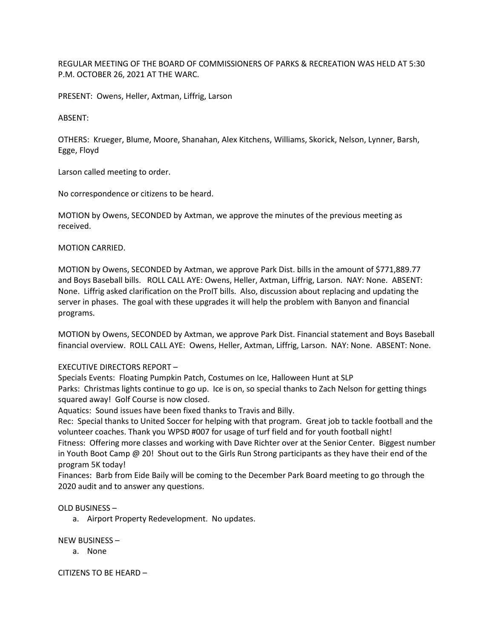REGULAR MEETING OF THE BOARD OF COMMISSIONERS OF PARKS & RECREATION WAS HELD AT 5:30 P.M. OCTOBER 26, 2021 AT THE WARC.

PRESENT: Owens, Heller, Axtman, Liffrig, Larson

ABSENT:

OTHERS: Krueger, Blume, Moore, Shanahan, Alex Kitchens, Williams, Skorick, Nelson, Lynner, Barsh, Egge, Floyd

Larson called meeting to order.

No correspondence or citizens to be heard.

MOTION by Owens, SECONDED by Axtman, we approve the minutes of the previous meeting as received.

MOTION CARRIED.

MOTION by Owens, SECONDED by Axtman, we approve Park Dist. bills in the amount of \$771,889.77 and Boys Baseball bills. ROLL CALL AYE: Owens, Heller, Axtman, Liffrig, Larson. NAY: None. ABSENT: None. Liffrig asked clarification on the ProIT bills. Also, discussion about replacing and updating the server in phases. The goal with these upgrades it will help the problem with Banyon and financial programs.

MOTION by Owens, SECONDED by Axtman, we approve Park Dist. Financial statement and Boys Baseball financial overview. ROLL CALL AYE: Owens, Heller, Axtman, Liffrig, Larson. NAY: None. ABSENT: None.

EXECUTIVE DIRECTORS REPORT –

Specials Events: Floating Pumpkin Patch, Costumes on Ice, Halloween Hunt at SLP

Parks: Christmas lights continue to go up. Ice is on, so special thanks to Zach Nelson for getting things squared away! Golf Course is now closed.

Aquatics: Sound issues have been fixed thanks to Travis and Billy.

Rec: Special thanks to United Soccer for helping with that program. Great job to tackle football and the volunteer coaches. Thank you WPSD #007 for usage of turf field and for youth football night! Fitness: Offering more classes and working with Dave Richter over at the Senior Center. Biggest number in Youth Boot Camp @ 20! Shout out to the Girls Run Strong participants as they have their end of the program 5K today!

Finances: Barb from Eide Baily will be coming to the December Park Board meeting to go through the 2020 audit and to answer any questions.

OLD BUSINESS –

a. Airport Property Redevelopment. No updates.

NEW BUSINESS –

a. None

CITIZENS TO BE HEARD –